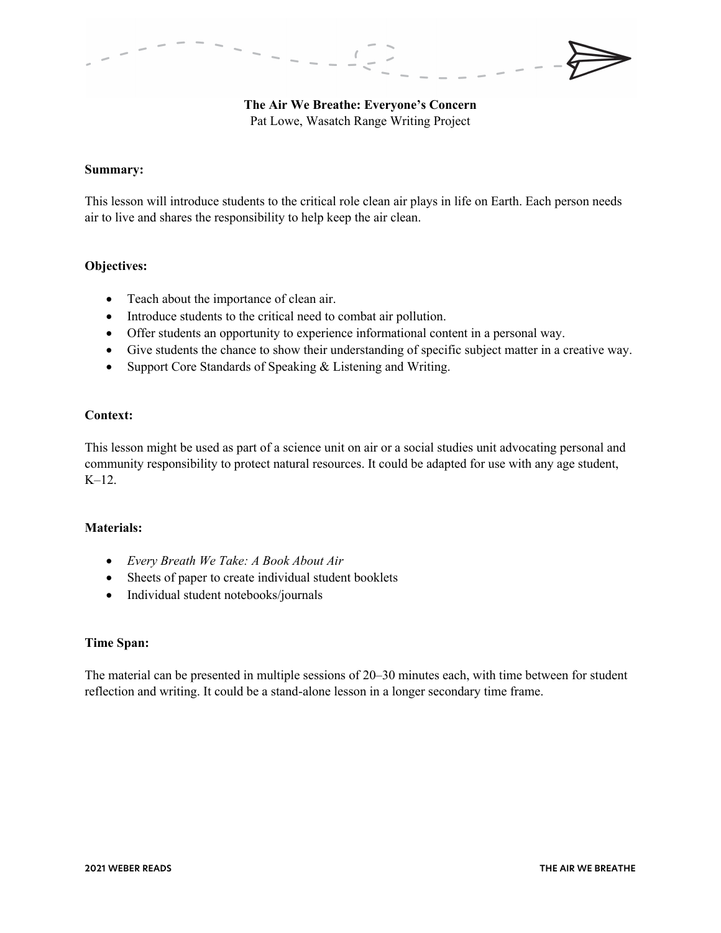**The Air We Breathe: Everyone's Concern** Pat Lowe, Wasatch Range Writing Project

## **Summary:**

This lesson will introduce students to the critical role clean air plays in life on Earth. Each person needs air to live and shares the responsibility to help keep the air clean.

# **Objectives:**

- Teach about the importance of clean air.
- Introduce students to the critical need to combat air pollution.
- Offer students an opportunity to experience informational content in a personal way.
- Give students the chance to show their understanding of specific subject matter in a creative way.
- Support Core Standards of Speaking & Listening and Writing.

# **Context:**

This lesson might be used as part of a science unit on air or a social studies unit advocating personal and community responsibility to protect natural resources. It could be adapted for use with any age student, K–12.

# **Materials:**

- *Every Breath We Take: A Book About Air*
- Sheets of paper to create individual student booklets
- Individual student notebooks/journals

#### **Time Span:**

The material can be presented in multiple sessions of 20–30 minutes each, with time between for student reflection and writing. It could be a stand-alone lesson in a longer secondary time frame.